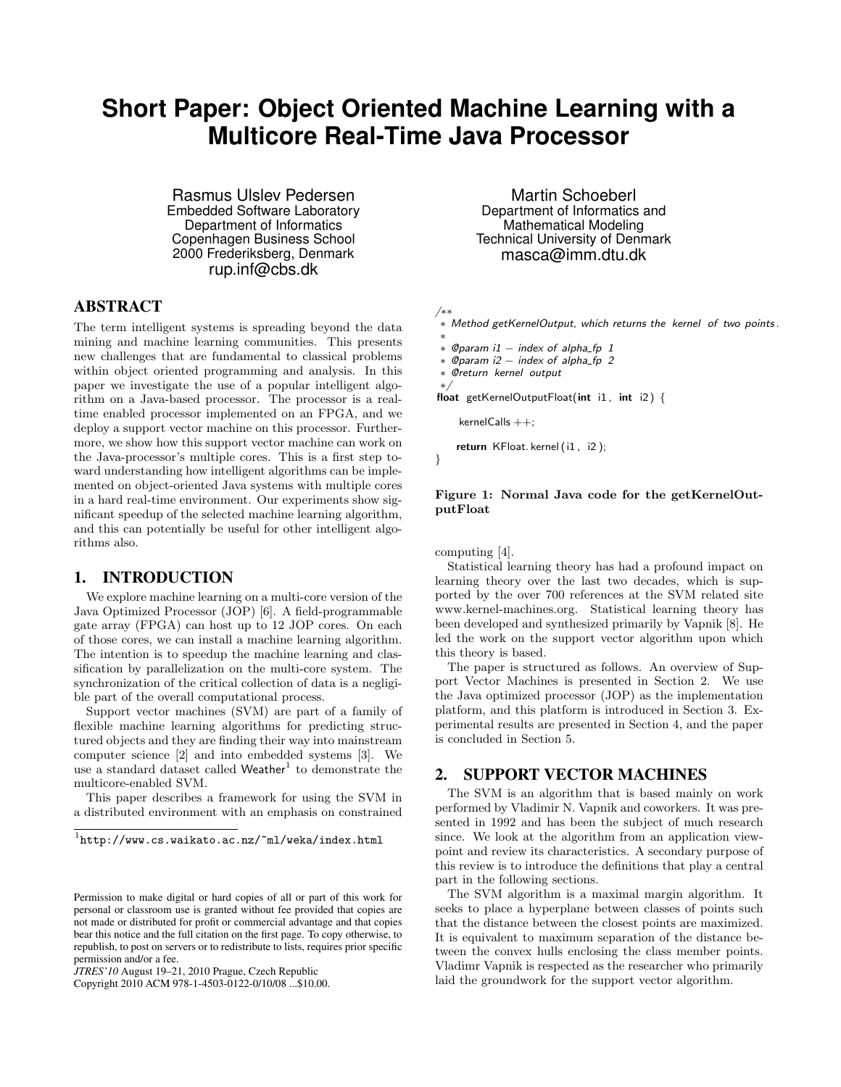# **Short Paper: Object Oriented Machine Learning with a Multicore Real-Time Java Processor**

Rasmus Ulslev Pedersen Embedded Software Laboratory Department of Informatics Copenhagen Business School 2000 Frederiksberg, Denmark rup.inf@cbs.dk

## ABSTRACT

The term intelligent systems is spreading beyond the data mining and machine learning communities. This presents new challenges that are fundamental to classical problems within object oriented programming and analysis. In this paper we investigate the use of a popular intelligent algorithm on a Java-based processor. The processor is a realtime enabled processor implemented on an FPGA, and we deploy a support vector machine on this processor. Furthermore, we show how this support vector machine can work on the Java-processor's multiple cores. This is a first step toward understanding how intelligent algorithms can be implemented on object-oriented Java systems with multiple cores in a hard real-time environment. Our experiments show significant speedup of the selected machine learning algorithm, and this can potentially be useful for other intelligent algorithms also.

#### 1. INTRODUCTION

We explore machine learning on a multi-core version of the Java Optimized Processor (JOP) [6]. A field-programmable gate array (FPGA) can host up to 12 JOP cores. On each of those cores, we can install a machine learning algorithm. The intention is to speedup the machine learning and classification by parallelization on the multi-core system. The synchronization of the critical collection of data is a negligible part of the overall computational process.

Support vector machines (SVM) are part of a family of flexible machine learning algorithms for predicting structured objects and they are finding their way into mainstream computer science [2] and into embedded systems [3]. We use a standard dataset called Weather<sup>1</sup> to demonstrate the multicore-enabled SVM.

This paper describes a framework for using the SVM in a distributed environment with an emphasis on constrained

Copyright 2010 ACM 978-1-4503-0122-0/10/08 ...\$10.00.

Martin Schoeberl Department of Informatics and Mathematical Modeling Technical University of Denmark masca@imm.dtu.dk

/∗∗

∗ Method getKernelOutput, which returns the kernel of two points .

```
∗
∗ @param i1 − index of alpha fp 1
```
 $\frac{1}{2}$  ©param i2 – index of alpha\_fp 2

∗/

float getKernelOutputFloat(int i1, int i2)  $\{$ 

 $kernelCalls + +;$ 

return KFloat. kernel (i1 , i2 );

}

#### Figure 1: Normal Java code for the getKernelOutputFloat

#### computing [4].

Statistical learning theory has had a profound impact on learning theory over the last two decades, which is supported by the over 700 references at the SVM related site www.kernel-machines.org. Statistical learning theory has been developed and synthesized primarily by Vapnik [8]. He led the work on the support vector algorithm upon which this theory is based.

The paper is structured as follows. An overview of Support Vector Machines is presented in Section 2. We use the Java optimized processor (JOP) as the implementation platform, and this platform is introduced in Section 3. Experimental results are presented in Section 4, and the paper is concluded in Section 5.

#### 2. SUPPORT VECTOR MACHINES

The SVM is an algorithm that is based mainly on work performed by Vladimir N. Vapnik and coworkers. It was presented in 1992 and has been the subject of much research since. We look at the algorithm from an application viewpoint and review its characteristics. A secondary purpose of this review is to introduce the definitions that play a central part in the following sections.

The SVM algorithm is a maximal margin algorithm. It seeks to place a hyperplane between classes of points such that the distance between the closest points are maximized. It is equivalent to maximum separation of the distance between the convex hulls enclosing the class member points. Vladimr Vapnik is respected as the researcher who primarily laid the groundwork for the support vector algorithm.

 $1$ http://www.cs.waikato.ac.nz/~ml/weka/index.html

Permission to make digital or hard copies of all or part of this work for personal or classroom use is granted without fee provided that copies are not made or distributed for profit or commercial advantage and that copies bear this notice and the full citation on the first page. To copy otherwise, to republish, to post on servers or to redistribute to lists, requires prior specific permission and/or a fee.

*JTRES'10* August 19–21, 2010 Prague, Czech Republic

<sup>∗</sup> @return kernel output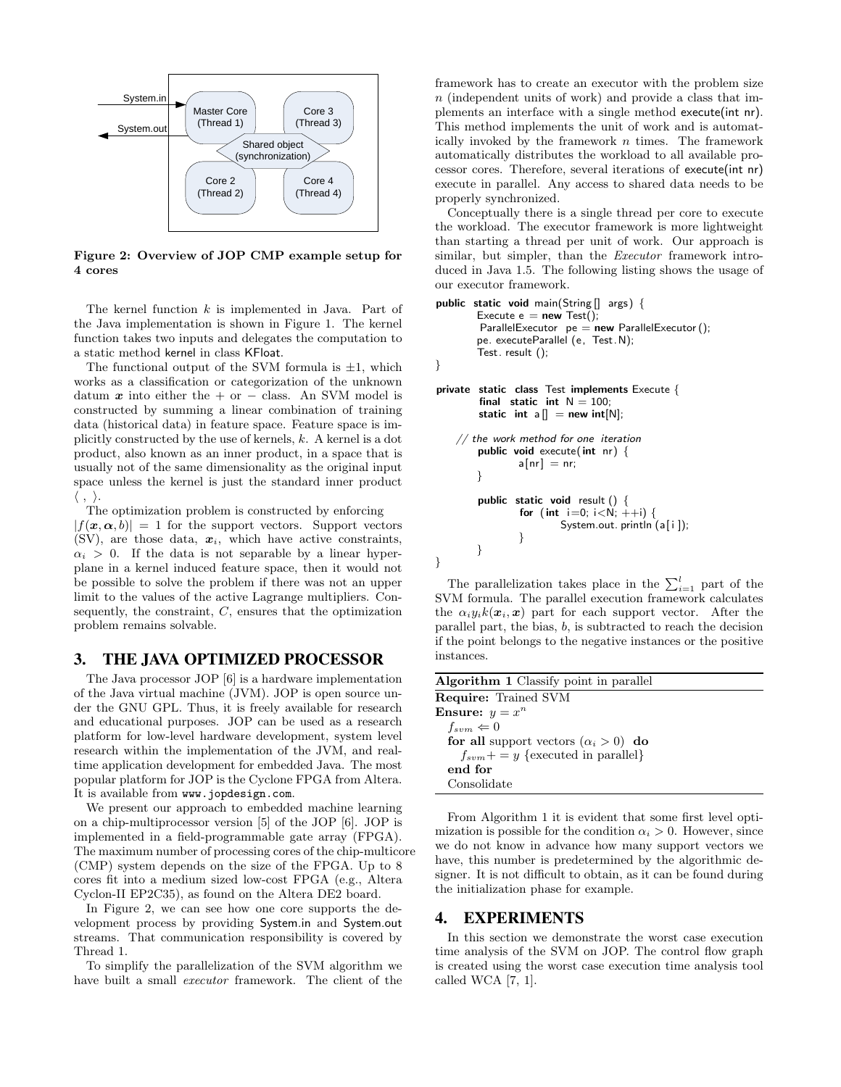

Figure 2: Overview of JOP CMP example setup for 4 cores

The kernel function  $k$  is implemented in Java. Part of the Java implementation is shown in Figure 1. The kernel function takes two inputs and delegates the computation to a static method kernel in class KFloat.

The functional output of the SVM formula is  $\pm 1$ , which works as a classification or categorization of the unknown datum  $x$  into either the + or − class. An SVM model is constructed by summing a linear combination of training data (historical data) in feature space. Feature space is implicitly constructed by the use of kernels, k. A kernel is a dot product, also known as an inner product, in a space that is usually not of the same dimensionality as the original input space unless the kernel is just the standard inner product  $\langle \; , \; \rangle.$ 

The optimization problem is constructed by enforcing  $|f(x, \alpha, b)| = 1$  for the support vectors. Support vectors (SV), are those data,  $x_i$ , which have active constraints,  $\alpha_i > 0$ . If the data is not separable by a linear hyperplane in a kernel induced feature space, then it would not be possible to solve the problem if there was not an upper limit to the values of the active Lagrange multipliers. Consequently, the constraint,  $C$ , ensures that the optimization problem remains solvable.

#### 3. THE JAVA OPTIMIZED PROCESSOR

The Java processor JOP [6] is a hardware implementation of the Java virtual machine (JVM). JOP is open source under the GNU GPL. Thus, it is freely available for research and educational purposes. JOP can be used as a research platform for low-level hardware development, system level research within the implementation of the JVM, and realtime application development for embedded Java. The most popular platform for JOP is the Cyclone FPGA from Altera. It is available from www.jopdesign.com.

We present our approach to embedded machine learning on a chip-multiprocessor version [5] of the JOP [6]. JOP is implemented in a field-programmable gate array (FPGA). The maximum number of processing cores of the chip-multicore (CMP) system depends on the size of the FPGA. Up to 8 cores fit into a medium sized low-cost FPGA (e.g., Altera Cyclon-II EP2C35), as found on the Altera DE2 board.

In Figure 2, we can see how one core supports the development process by providing System.in and System.out streams. That communication responsibility is covered by Thread 1.

To simplify the parallelization of the SVM algorithm we have built a small *executor* framework. The client of the

framework has to create an executor with the problem size n (independent units of work) and provide a class that implements an interface with a single method execute(int nr). This method implements the unit of work and is automatically invoked by the framework  $n$  times. The framework automatically distributes the workload to all available processor cores. Therefore, several iterations of execute(int nr) execute in parallel. Any access to shared data needs to be properly synchronized.

Conceptually there is a single thread per core to execute the workload. The executor framework is more lightweight than starting a thread per unit of work. Our approach is similar, but simpler, than the *Executor* framework introduced in Java 1.5. The following listing shows the usage of our executor framework.

```
public static void main(String [] args) {
           Execute e = new Test();
           \small \textsf{ParallelExecutor}\ \ \textsf{pe} = \textsf{new} \ \ \textsf{ParallelExecutor}\ \textsf{()};pe. executeParallel (e, Test.N);
           Test. result ();
```
}

}

```
private static class Test implements Execute {
        final static int N = 100;
        static int a[] = new int[N];// the work method for one iteration
        public void execute( int nr) {
               a[nr] = nr;
```

```
}
public static void result () {
        for (int i=0; i<N; +i+i) {
                 System.out. println (a[i]);
        }
}
```
The parallelization takes place in the  $\sum_{i=1}^{l}$  part of the SVM formula. The parallel execution framework calculates the  $\alpha_i y_i k(\mathbf{x}_i, \mathbf{x})$  part for each support vector. After the parallel part, the bias, b, is subtracted to reach the decision if the point belongs to the negative instances or the positive instances.

| <b>Algorithm 1</b> Classify point in parallel |
|-----------------------------------------------|
| <b>Require:</b> Trained SVM                   |
| <b>Ensure:</b> $y = x^n$                      |
| $f_{sym} \Leftarrow 0$                        |
| for all support vectors $(\alpha_i > 0)$ do   |
| $f_{sym}+=y$ {executed in parallel}           |
| end for                                       |
| Consolidate                                   |

From Algorithm 1 it is evident that some first level optimization is possible for the condition  $\alpha_i > 0$ . However, since we do not know in advance how many support vectors we have, this number is predetermined by the algorithmic designer. It is not difficult to obtain, as it can be found during the initialization phase for example.

## 4. EXPERIMENTS

In this section we demonstrate the worst case execution time analysis of the SVM on JOP. The control flow graph is created using the worst case execution time analysis tool called WCA [7, 1].